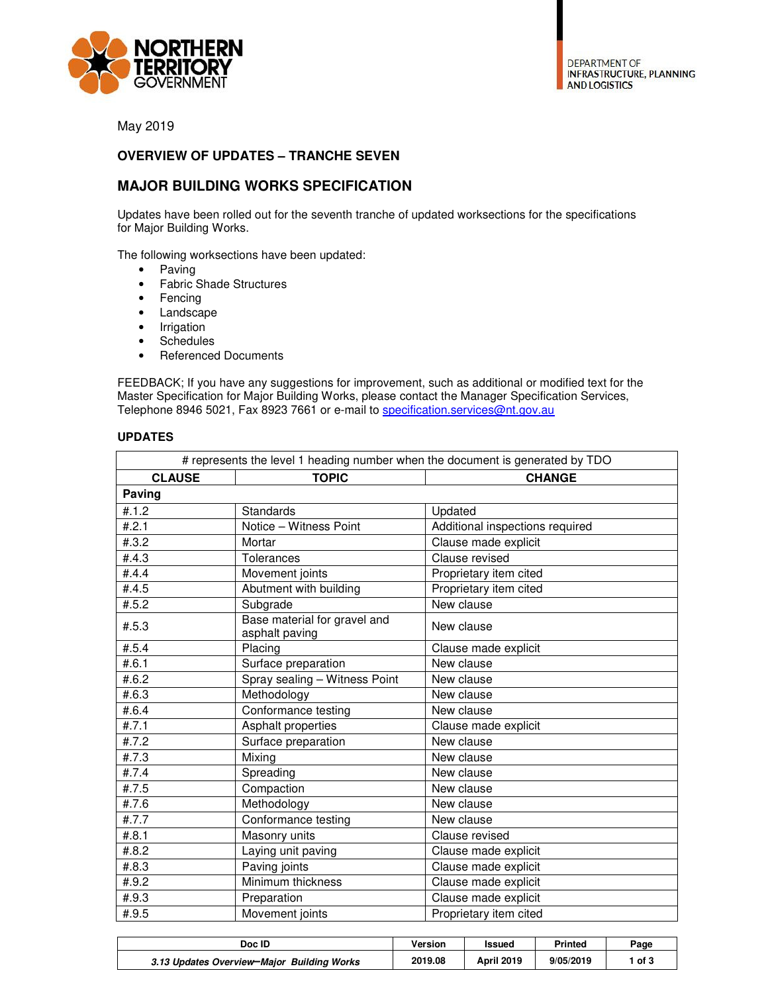

May 2019

## **OVERVIEW OF UPDATES – TRANCHE SEVEN**

## **MAJOR BUILDING WORKS SPECIFICATION**

Updates have been rolled out for the seventh tranche of updated worksections for the specifications for Major Building Works.

The following worksections have been updated:

- Paving
- Fabric Shade Structures
- Fencing
- Landscape
- Irrigation
- Schedules
- Referenced Documents

FEEDBACK; If you have any suggestions for improvement, such as additional or modified text for the Master Specification for Major Building Works, please contact the Manager Specification Services, Telephone 8946 5021, Fax 8923 7661 or e-mail to specification.services@nt.gov.au

## **UPDATES**

| # represents the level 1 heading number when the document is generated by TDO |                                                |                                 |  |  |
|-------------------------------------------------------------------------------|------------------------------------------------|---------------------------------|--|--|
| <b>CLAUSE</b>                                                                 | <b>TOPIC</b>                                   | <b>CHANGE</b>                   |  |  |
| Paving                                                                        |                                                |                                 |  |  |
| #.1.2                                                                         | Standards                                      | Updated                         |  |  |
| #.2.1                                                                         | Notice - Witness Point                         | Additional inspections required |  |  |
| #.3.2                                                                         | Mortar                                         | Clause made explicit            |  |  |
| #.4.3                                                                         | Tolerances                                     | Clause revised                  |  |  |
| #.4.4                                                                         | Movement joints                                | Proprietary item cited          |  |  |
| #.4.5                                                                         | Abutment with building                         | Proprietary item cited          |  |  |
| #.5.2                                                                         | Subgrade                                       | New clause                      |  |  |
| #.5.3                                                                         | Base material for gravel and<br>asphalt paving | New clause                      |  |  |
| #.5.4                                                                         | Placing                                        | Clause made explicit            |  |  |
| #.6.1                                                                         | Surface preparation                            | New clause                      |  |  |
| #.6.2                                                                         | Spray sealing - Witness Point                  | New clause                      |  |  |
| #.6.3                                                                         | Methodology                                    | New clause                      |  |  |
| #.6.4                                                                         | Conformance testing                            | New clause                      |  |  |
| #.7.1                                                                         | Asphalt properties                             | Clause made explicit            |  |  |
| #.7.2                                                                         | Surface preparation                            | New clause                      |  |  |
| #.7.3                                                                         | Mixing                                         | New clause                      |  |  |
| #.7.4                                                                         | Spreading                                      | New clause                      |  |  |
| #.7.5                                                                         | Compaction                                     | New clause                      |  |  |
| #.7.6                                                                         | Methodology                                    | New clause                      |  |  |
| #.7.7                                                                         | Conformance testing                            | New clause                      |  |  |
| #.8.1                                                                         | Masonry units                                  | Clause revised                  |  |  |
| #.8.2                                                                         | Laying unit paving                             | Clause made explicit            |  |  |
| #.8.3                                                                         | Paving joints                                  | Clause made explicit            |  |  |
| #.9.2                                                                         | Minimum thickness                              | Clause made explicit            |  |  |
| #.9.3                                                                         | Preparation                                    | Clause made explicit            |  |  |
| #.9.5                                                                         | Movement joints                                | Proprietary item cited          |  |  |

| Doc ID                                     | Version | Issued            | Printed   | Page |
|--------------------------------------------|---------|-------------------|-----------|------|
| 3.13 Updates Overview-Major Building Works | 2019.08 | <b>April 2019</b> | 9/05/2019 | of 3 |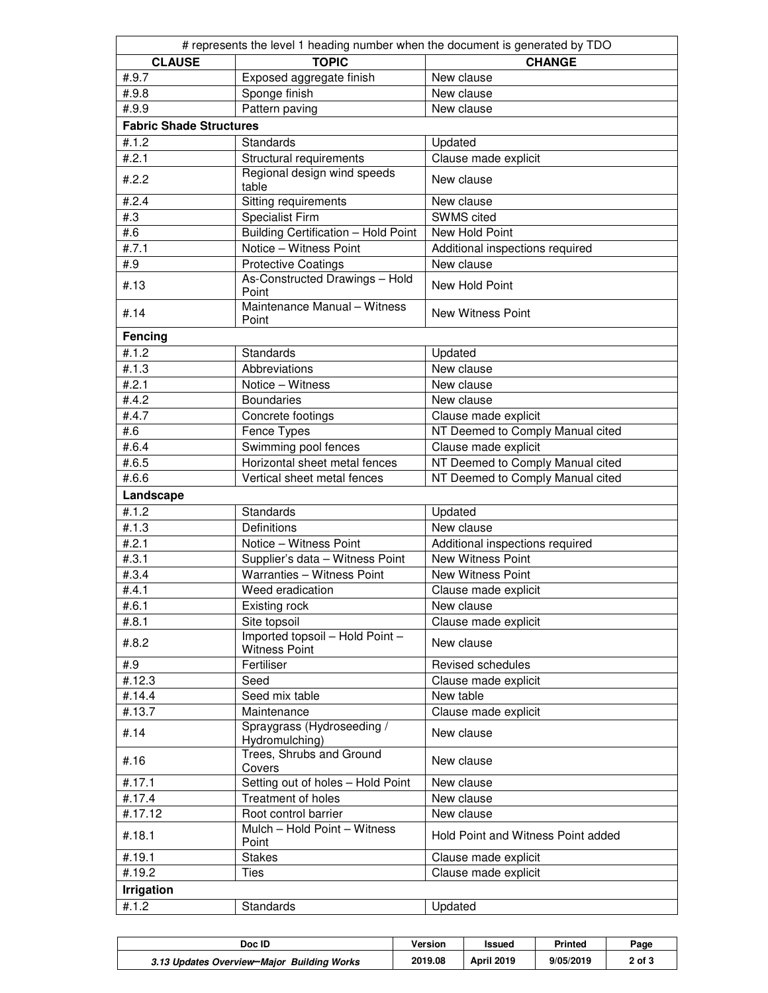| # represents the level 1 heading number when the document is generated by TDO |                                                         |                                    |  |  |  |  |
|-------------------------------------------------------------------------------|---------------------------------------------------------|------------------------------------|--|--|--|--|
| <b>CLAUSE</b>                                                                 | <b>TOPIC</b>                                            | <b>CHANGE</b>                      |  |  |  |  |
| #.9.7                                                                         | Exposed aggregate finish                                | New clause                         |  |  |  |  |
| #.9.8                                                                         | Sponge finish                                           | New clause                         |  |  |  |  |
| #.9.9                                                                         | Pattern paving                                          | New clause                         |  |  |  |  |
| <b>Fabric Shade Structures</b>                                                |                                                         |                                    |  |  |  |  |
| #.1.2                                                                         | Standards                                               | Updated                            |  |  |  |  |
| #.2.1                                                                         | Structural requirements                                 | Clause made explicit               |  |  |  |  |
| #.2.2                                                                         | Regional design wind speeds                             | New clause                         |  |  |  |  |
|                                                                               | table                                                   |                                    |  |  |  |  |
| #.2.4                                                                         | Sitting requirements                                    | New clause                         |  |  |  |  |
| #3                                                                            | <b>Specialist Firm</b>                                  | SWMS cited                         |  |  |  |  |
| #.6                                                                           | Building Certification - Hold Point                     | New Hold Point                     |  |  |  |  |
| #.7.1                                                                         | Notice - Witness Point                                  | Additional inspections required    |  |  |  |  |
| #.9                                                                           | <b>Protective Coatings</b>                              | New clause                         |  |  |  |  |
| #.13                                                                          | As-Constructed Drawings - Hold<br>Point                 | New Hold Point                     |  |  |  |  |
| #.14                                                                          | Maintenance Manual - Witness<br>Point                   | <b>New Witness Point</b>           |  |  |  |  |
| Fencing                                                                       |                                                         |                                    |  |  |  |  |
| #.1.2                                                                         | Standards                                               | Updated                            |  |  |  |  |
| #.1.3                                                                         | Abbreviations                                           | New clause                         |  |  |  |  |
| #.2.1                                                                         | Notice - Witness                                        | New clause                         |  |  |  |  |
| #.4.2                                                                         | <b>Boundaries</b>                                       | New clause                         |  |  |  |  |
| #.4.7                                                                         | Concrete footings                                       | Clause made explicit               |  |  |  |  |
| #.6                                                                           | Fence Types                                             | NT Deemed to Comply Manual cited   |  |  |  |  |
| #.6.4                                                                         | Swimming pool fences                                    | Clause made explicit               |  |  |  |  |
| #.6.5                                                                         | Horizontal sheet metal fences                           | NT Deemed to Comply Manual cited   |  |  |  |  |
| #.6.6                                                                         | Vertical sheet metal fences                             | NT Deemed to Comply Manual cited   |  |  |  |  |
| Landscape                                                                     |                                                         |                                    |  |  |  |  |
| #.1.2                                                                         | Standards                                               | Updated                            |  |  |  |  |
| #.1.3                                                                         | Definitions                                             | New clause                         |  |  |  |  |
| #.2.1                                                                         | Notice - Witness Point                                  | Additional inspections required    |  |  |  |  |
| #.3.1                                                                         | Supplier's data - Witness Point                         | <b>New Witness Point</b>           |  |  |  |  |
| #.3.4                                                                         | Warranties - Witness Point                              | <b>New Witness Point</b>           |  |  |  |  |
| #.4.1                                                                         | Weed eradication                                        | Clause made explicit               |  |  |  |  |
| #.6.1                                                                         | Existing rock                                           | New clause                         |  |  |  |  |
| #.8.1                                                                         | Site topsoil                                            | Clause made explicit               |  |  |  |  |
| #.8.2                                                                         | Imported topsoil - Hold Point -<br><b>Witness Point</b> | New clause                         |  |  |  |  |
| #.9                                                                           | Fertiliser                                              | Revised schedules                  |  |  |  |  |
| #.12.3                                                                        | Seed                                                    | Clause made explicit               |  |  |  |  |
| #.14.4                                                                        | Seed mix table                                          | New table                          |  |  |  |  |
| #.13.7                                                                        | Maintenance                                             | Clause made explicit               |  |  |  |  |
| #.14                                                                          | Spraygrass (Hydroseeding /<br>Hydromulching)            | New clause                         |  |  |  |  |
| #.16                                                                          | Trees, Shrubs and Ground<br>Covers                      | New clause                         |  |  |  |  |
| #.17.1                                                                        | Setting out of holes - Hold Point                       | New clause                         |  |  |  |  |
| #.17.4                                                                        | <b>Treatment of holes</b>                               | New clause                         |  |  |  |  |
| #.17.12                                                                       | Root control barrier                                    | New clause                         |  |  |  |  |
| #.18.1                                                                        | Mulch - Hold Point - Witness<br>Point                   | Hold Point and Witness Point added |  |  |  |  |
| #.19.1                                                                        | <b>Stakes</b>                                           | Clause made explicit               |  |  |  |  |
| #.19.2                                                                        | <b>Ties</b>                                             | Clause made explicit               |  |  |  |  |
| <b>Irrigation</b>                                                             |                                                         |                                    |  |  |  |  |
| #.1.2                                                                         | Standards                                               | Updated                            |  |  |  |  |
|                                                                               |                                                         |                                    |  |  |  |  |

| Doc ID                                     | Version | <b>Issued</b>     | Printed   | Page   |
|--------------------------------------------|---------|-------------------|-----------|--------|
| 3.13 Updates Overview-Major Building Works | 2019.08 | <b>April 2019</b> | 9/05/2019 | 2 of 3 |